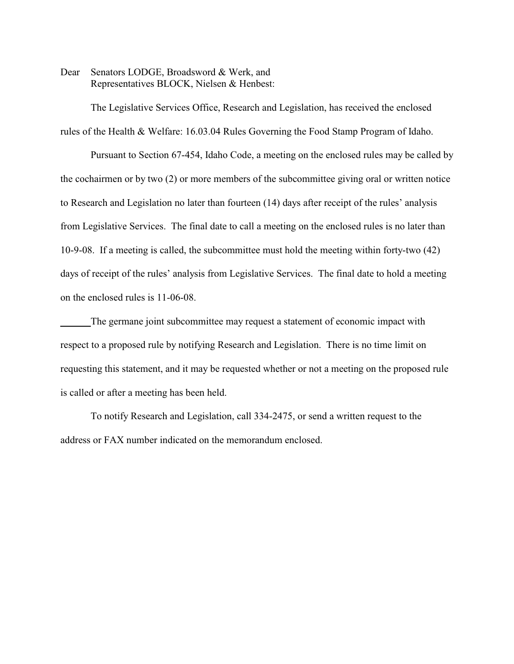Dear Senators LODGE, Broadsword & Werk, and Representatives BLOCK, Nielsen & Henbest:

The Legislative Services Office, Research and Legislation, has received the enclosed rules of the Health & Welfare: 16.03.04 Rules Governing the Food Stamp Program of Idaho.

Pursuant to Section 67-454, Idaho Code, a meeting on the enclosed rules may be called by the cochairmen or by two (2) or more members of the subcommittee giving oral or written notice to Research and Legislation no later than fourteen (14) days after receipt of the rules' analysis from Legislative Services. The final date to call a meeting on the enclosed rules is no later than 10-9-08. If a meeting is called, the subcommittee must hold the meeting within forty-two (42) days of receipt of the rules' analysis from Legislative Services. The final date to hold a meeting on the enclosed rules is 11-06-08.

The germane joint subcommittee may request a statement of economic impact with respect to a proposed rule by notifying Research and Legislation. There is no time limit on requesting this statement, and it may be requested whether or not a meeting on the proposed rule is called or after a meeting has been held.

To notify Research and Legislation, call 334-2475, or send a written request to the address or FAX number indicated on the memorandum enclosed.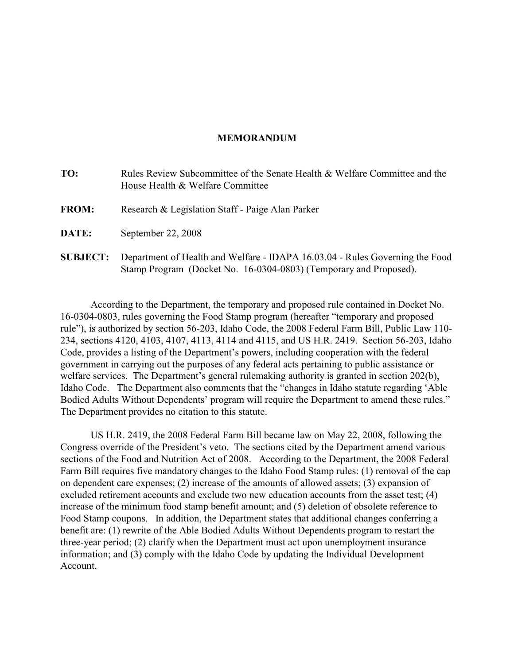## **MEMORANDUM**

| TO:             | Rules Review Subcommittee of the Senate Health & Welfare Committee and the<br>House Health & Welfare Committee                                    |
|-----------------|---------------------------------------------------------------------------------------------------------------------------------------------------|
| <b>FROM:</b>    | Research & Legislation Staff - Paige Alan Parker                                                                                                  |
| DATE:           | September 22, 2008                                                                                                                                |
| <b>SUBJECT:</b> | Department of Health and Welfare - IDAPA 16.03.04 - Rules Governing the Food<br>Stamp Program (Docket No. 16-0304-0803) (Temporary and Proposed). |

According to the Department, the temporary and proposed rule contained in Docket No. 16-0304-0803, rules governing the Food Stamp program (hereafter "temporary and proposed rule"), is authorized by section 56-203, Idaho Code, the 2008 Federal Farm Bill, Public Law 110- 234, sections 4120, 4103, 4107, 4113, 4114 and 4115, and US H.R. 2419. Section 56-203, Idaho Code, provides a listing of the Department's powers, including cooperation with the federal government in carrying out the purposes of any federal acts pertaining to public assistance or welfare services. The Department's general rulemaking authority is granted in section 202(b), Idaho Code. The Department also comments that the "changes in Idaho statute regarding 'Able Bodied Adults Without Dependents' program will require the Department to amend these rules." The Department provides no citation to this statute.

US H.R. 2419, the 2008 Federal Farm Bill became law on May 22, 2008, following the Congress override of the President's veto. The sections cited by the Department amend various sections of the Food and Nutrition Act of 2008. According to the Department, the 2008 Federal Farm Bill requires five mandatory changes to the Idaho Food Stamp rules: (1) removal of the cap on dependent care expenses; (2) increase of the amounts of allowed assets; (3) expansion of excluded retirement accounts and exclude two new education accounts from the asset test; (4) increase of the minimum food stamp benefit amount; and (5) deletion of obsolete reference to Food Stamp coupons. In addition, the Department states that additional changes conferring a benefit are: (1) rewrite of the Able Bodied Adults Without Dependents program to restart the three-year period; (2) clarify when the Department must act upon unemployment insurance information; and (3) comply with the Idaho Code by updating the Individual Development Account.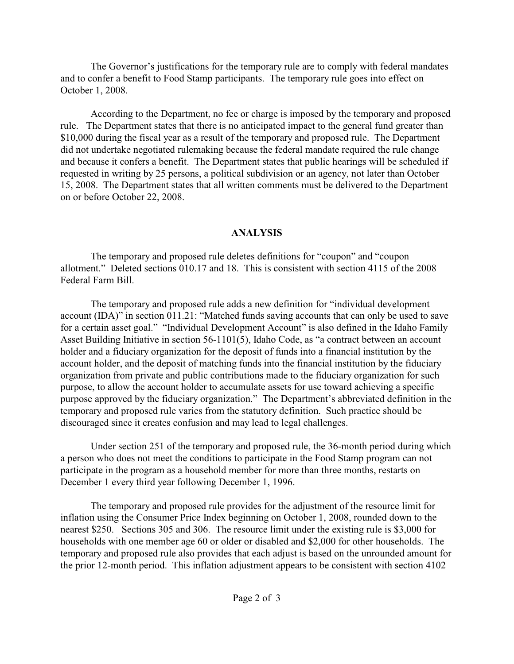The Governor's justifications for the temporary rule are to comply with federal mandates and to confer a benefit to Food Stamp participants. The temporary rule goes into effect on October 1, 2008.

According to the Department, no fee or charge is imposed by the temporary and proposed rule. The Department states that there is no anticipated impact to the general fund greater than \$10,000 during the fiscal year as a result of the temporary and proposed rule. The Department did not undertake negotiated rulemaking because the federal mandate required the rule change and because it confers a benefit. The Department states that public hearings will be scheduled if requested in writing by 25 persons, a political subdivision or an agency, not later than October 15, 2008. The Department states that all written comments must be delivered to the Department on or before October 22, 2008.

## **ANALYSIS**

The temporary and proposed rule deletes definitions for "coupon" and "coupon allotment." Deleted sections 010.17 and 18. This is consistent with section 4115 of the 2008 Federal Farm Bill.

The temporary and proposed rule adds a new definition for "individual development account (IDA)" in section 011.21: "Matched funds saving accounts that can only be used to save for a certain asset goal." "Individual Development Account" is also defined in the Idaho Family Asset Building Initiative in section 56-1101(5), Idaho Code, as "a contract between an account holder and a fiduciary organization for the deposit of funds into a financial institution by the account holder, and the deposit of matching funds into the financial institution by the fiduciary organization from private and public contributions made to the fiduciary organization for such purpose, to allow the account holder to accumulate assets for use toward achieving a specific purpose approved by the fiduciary organization." The Department's abbreviated definition in the temporary and proposed rule varies from the statutory definition. Such practice should be discouraged since it creates confusion and may lead to legal challenges.

Under section 251 of the temporary and proposed rule, the 36-month period during which a person who does not meet the conditions to participate in the Food Stamp program can not participate in the program as a household member for more than three months, restarts on December 1 every third year following December 1, 1996.

The temporary and proposed rule provides for the adjustment of the resource limit for inflation using the Consumer Price Index beginning on October 1, 2008, rounded down to the nearest \$250. Sections 305 and 306. The resource limit under the existing rule is \$3,000 for households with one member age 60 or older or disabled and \$2,000 for other households. The temporary and proposed rule also provides that each adjust is based on the unrounded amount for the prior 12-month period. This inflation adjustment appears to be consistent with section 4102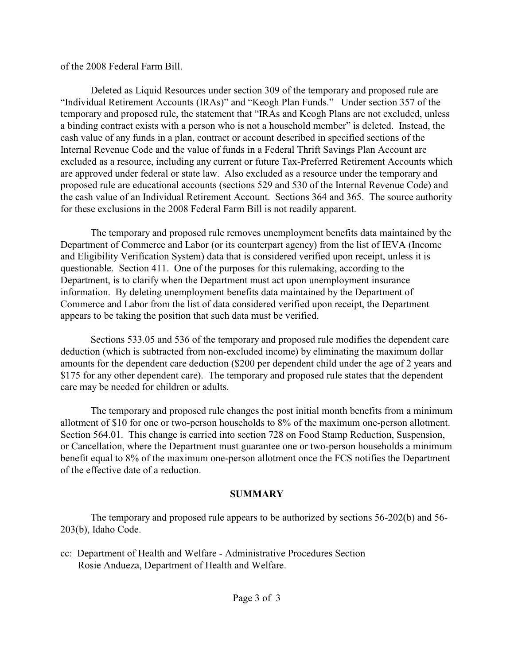## of the 2008 Federal Farm Bill.

Deleted as Liquid Resources under section 309 of the temporary and proposed rule are "Individual Retirement Accounts (IRAs)" and "Keogh Plan Funds." Under section 357 of the temporary and proposed rule, the statement that "IRAs and Keogh Plans are not excluded, unless a binding contract exists with a person who is not a household member" is deleted. Instead, the cash value of any funds in a plan, contract or account described in specified sections of the Internal Revenue Code and the value of funds in a Federal Thrift Savings Plan Account are excluded as a resource, including any current or future Tax-Preferred Retirement Accounts which are approved under federal or state law. Also excluded as a resource under the temporary and proposed rule are educational accounts (sections 529 and 530 of the Internal Revenue Code) and the cash value of an Individual Retirement Account. Sections 364 and 365. The source authority for these exclusions in the 2008 Federal Farm Bill is not readily apparent.

The temporary and proposed rule removes unemployment benefits data maintained by the Department of Commerce and Labor (or its counterpart agency) from the list of IEVA (Income and Eligibility Verification System) data that is considered verified upon receipt, unless it is questionable. Section 411. One of the purposes for this rulemaking, according to the Department, is to clarify when the Department must act upon unemployment insurance information. By deleting unemployment benefits data maintained by the Department of Commerce and Labor from the list of data considered verified upon receipt, the Department appears to be taking the position that such data must be verified.

Sections 533.05 and 536 of the temporary and proposed rule modifies the dependent care deduction (which is subtracted from non-excluded income) by eliminating the maximum dollar amounts for the dependent care deduction (\$200 per dependent child under the age of 2 years and \$175 for any other dependent care). The temporary and proposed rule states that the dependent care may be needed for children or adults.

The temporary and proposed rule changes the post initial month benefits from a minimum allotment of \$10 for one or two-person households to 8% of the maximum one-person allotment. Section 564.01. This change is carried into section 728 on Food Stamp Reduction, Suspension, or Cancellation, where the Department must guarantee one or two-person households a minimum benefit equal to 8% of the maximum one-person allotment once the FCS notifies the Department of the effective date of a reduction.

## **SUMMARY**

The temporary and proposed rule appears to be authorized by sections 56-202(b) and 56- 203(b), Idaho Code.

cc: Department of Health and Welfare - Administrative Procedures Section Rosie Andueza, Department of Health and Welfare.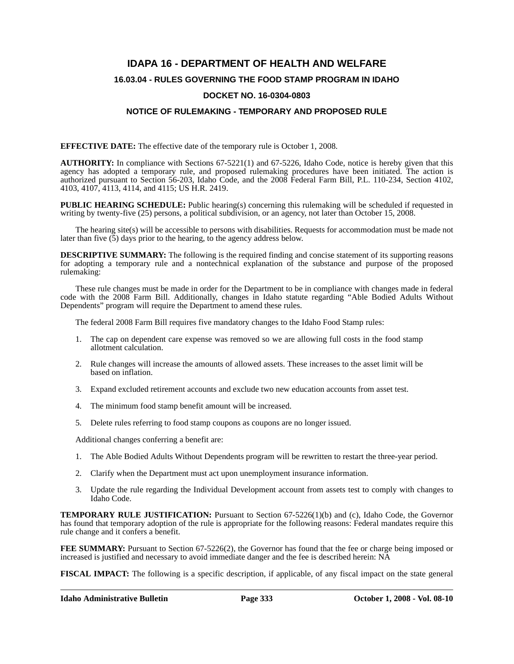## **IDAPA 16 - DEPARTMENT OF HEALTH AND WELFARE**

## **16.03.04 - RULES GOVERNING THE FOOD STAMP PROGRAM IN IDAHO**

## **DOCKET NO. 16-0304-0803**

## **NOTICE OF RULEMAKING - TEMPORARY AND PROPOSED RULE**

**EFFECTIVE DATE:** The effective date of the temporary rule is October 1, 2008.

**AUTHORITY:** In compliance with Sections 67-5221(1) and 67-5226, Idaho Code, notice is hereby given that this agency has adopted a temporary rule, and proposed rulemaking procedures have been initiated. The action is authorized pursuant to Section 56-203, Idaho Code, and the 2008 Federal Farm Bill, P.L. 110-234, Section 4102, 4103, 4107, 4113, 4114, and 4115; US H.R. 2419.

**PUBLIC HEARING SCHEDULE:** Public hearing(s) concerning this rulemaking will be scheduled if requested in writing by twenty-five (25) persons, a political subdivision, or an agency, not later than October 15, 2008.

The hearing site(s) will be accessible to persons with disabilities. Requests for accommodation must be made not later than five (5) days prior to the hearing, to the agency address below.

**DESCRIPTIVE SUMMARY:** The following is the required finding and concise statement of its supporting reasons for adopting a temporary rule and a nontechnical explanation of the substance and purpose of the proposed rulemaking:

These rule changes must be made in order for the Department to be in compliance with changes made in federal code with the 2008 Farm Bill. Additionally, changes in Idaho statute regarding "Able Bodied Adults Without Dependents" program will require the Department to amend these rules.

The federal 2008 Farm Bill requires five mandatory changes to the Idaho Food Stamp rules:

- 1. The cap on dependent care expense was removed so we are allowing full costs in the food stamp allotment calculation.
- 2. Rule changes will increase the amounts of allowed assets. These increases to the asset limit will be based on inflation.
- 3. Expand excluded retirement accounts and exclude two new education accounts from asset test.
- 4. The minimum food stamp benefit amount will be increased.
- 5. Delete rules referring to food stamp coupons as coupons are no longer issued.

Additional changes conferring a benefit are:

- 1. The Able Bodied Adults Without Dependents program will be rewritten to restart the three-year period.
- 2. Clarify when the Department must act upon unemployment insurance information.
- 3. Update the rule regarding the Individual Development account from assets test to comply with changes to Idaho Code.

**TEMPORARY RULE JUSTIFICATION:** Pursuant to Section 67-5226(1)(b) and (c), Idaho Code, the Governor has found that temporary adoption of the rule is appropriate for the following reasons: Federal mandates require this rule change and it confers a benefit.

**FEE SUMMARY:** Pursuant to Section 67-5226(2), the Governor has found that the fee or charge being imposed or increased is justified and necessary to avoid immediate danger and the fee is described herein: NA

**FISCAL IMPACT:** The following is a specific description, if applicable, of any fiscal impact on the state general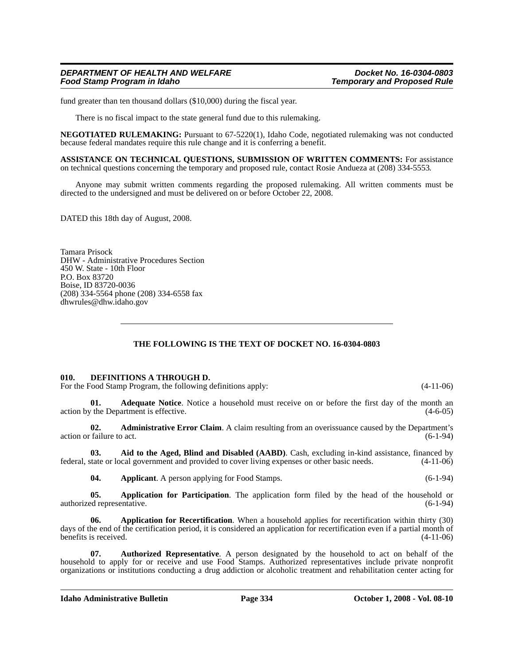fund greater than ten thousand dollars (\$10,000) during the fiscal year.

There is no fiscal impact to the state general fund due to this rulemaking.

**NEGOTIATED RULEMAKING:** Pursuant to 67-5220(1), Idaho Code, negotiated rulemaking was not conducted because federal mandates require this rule change and it is conferring a benefit.

**ASSISTANCE ON TECHNICAL QUESTIONS, SUBMISSION OF WRITTEN COMMENTS:** For assistance on technical questions concerning the temporary and proposed rule, contact Rosie Andueza at (208) 334-5553*.*

Anyone may submit written comments regarding the proposed rulemaking. All written comments must be directed to the undersigned and must be delivered on or before October 22, 2008.

DATED this 18th day of August, 2008.

Tamara Prisock DHW - Administrative Procedures Section 450 W. State - 10th Floor P.O. Box 83720 Boise, ID 83720-0036 (208) 334-5564 phone (208) 334-6558 fax <dhwrules@dhw.idaho.gov>

## **THE FOLLOWING IS THE TEXT OF DOCKET NO. 16-0304-0803**

#### **010. DEFINITIONS A THROUGH D.**

For the Food Stamp Program, the following definitions apply: (4-11-06)

**Adequate Notice**. Notice a household must receive on or before the first day of the month an action by the Department is effective. (4-6-05)

**02. Administrative Error Claim**. A claim resulting from an overissuance caused by the Department's  $\alpha$  action or failure to act.  $(6-1-94)$ 

**03. Aid to the Aged, Blind and Disabled (AABD)**. Cash, excluding in-kind assistance, financed by federal, state or local government and provided to cover living expenses or other basic needs. (4-11-06)

**04.** Applicant. A person applying for Food Stamps. (6-1-94)

**05. Application for Participation**. The application form filed by the head of the household or authorized representative. (6-1-94) (6-1-94)

**06. Application for Recertification**. When a household applies for recertification within thirty (30) days of the end of the certification period, it is considered an application for recertification even if a partial month of benefits is received. (4-11-06)

**07. Authorized Representative**. A person designated by the household to act on behalf of the household to apply for or receive and use Food Stamps. Authorized representatives include private nonprofit organizations or institutions conducting a drug addiction or alcoholic treatment and rehabilitation center acting for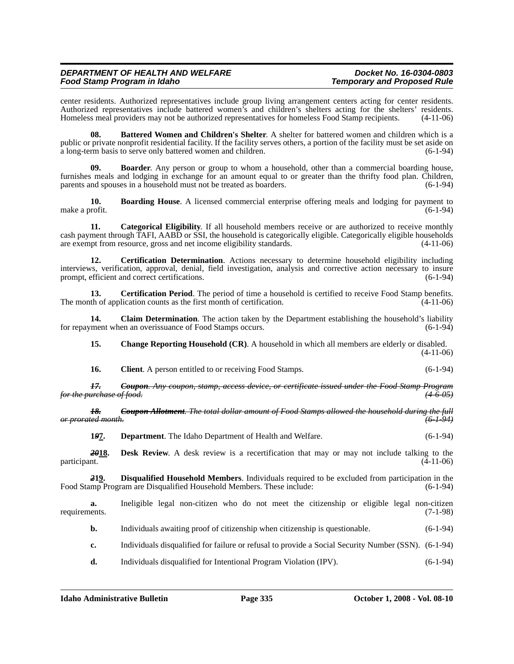## *Food Stamp Program in Idaho Temporary and Proposed Rule*

center residents. Authorized representatives include group living arrangement centers acting for center residents. Authorized representatives include battered women's and children's shelters acting for the shelters' residents. Homeless meal providers may not be authorized representatives for homeless Food Stamp recipients. (4-11-06)

**08. Battered Women and Children's Shelter**. A shelter for battered women and children which is a public or private nonprofit residential facility. If the facility serves others, a portion of the facility must be set aside on a long-term basis to serve only battered women and children. (6-1-94) a long-term basis to serve only battered women and children.

**09. Boarder**. Any person or group to whom a household, other than a commercial boarding house, furnishes meals and lodging in exchange for an amount equal to or greater than the thrifty food plan. Children, parents and spouses in a household must not be treated as boarders. (6-1-94)

**10. Boarding House**. A licensed commercial enterprise offering meals and lodging for payment to make a profit.  $(6-1-94)$ 

**11.** Categorical Eligibility. If all household members receive or are authorized to receive monthly cash payment through TAFI, AABD or SSI, the household is categorically eligible. Categorically eligible households are exempt from resource, gross and net income eligibility standards. (4-11-06)

**12. Certification Determination**. Actions necessary to determine household eligibility including interviews, verification, approval, denial, field investigation, analysis and corrective action necessary to insure prompt, efficient and correct certifications.

**13. Certification Period**. The period of time a household is certified to receive Food Stamp benefits. The month of application counts as the first month of certification. (4-11-06)

**14.** Claim Determination. The action taken by the Department establishing the household's liability ment when an overissuance of Food Stamps occurs. (6-1-94) for repayment when an overissuance of Food Stamps occurs.

**15. Change Reporting Household (CR)**. A household in which all members are elderly or disabled. (4-11-06)

**16.** Client. A person entitled to or receiving Food Stamps. (6-1-94)

*17. Coupon. Any coupon, stamp, access device, or certificate issued under the Food Stamp Program for the purchase of food. (4-6-05)*

*18. Coupon Allotment. The total dollar amount of Food Stamps allowed the household during the full or prorated month. (6-1-94)*

**1***9***7. Department**. The Idaho Department of Health and Welfare. (6-1-94)

**2018.** Desk Review. A desk review is a recertification that may or may not include talking to the participant. (4-11-06) participant. (4-11-06)

*2***19. Disqualified Household Members**. Individuals required to be excluded from participation in the Food Stamp Program are Disqualified Household Members. These include: (6-1-94)

**a.** Ineligible legal non-citizen who do not meet the citizenship or eligible legal non-citizen ents. (7-1-98) requirements.

**b.** Individuals awaiting proof of citizenship when citizenship is questionable. (6-1-94)

**c.** Individuals disqualified for failure or refusal to provide a Social Security Number (SSN). (6-1-94)

**d.** Individuals disqualified for Intentional Program Violation (IPV). (6-1-94)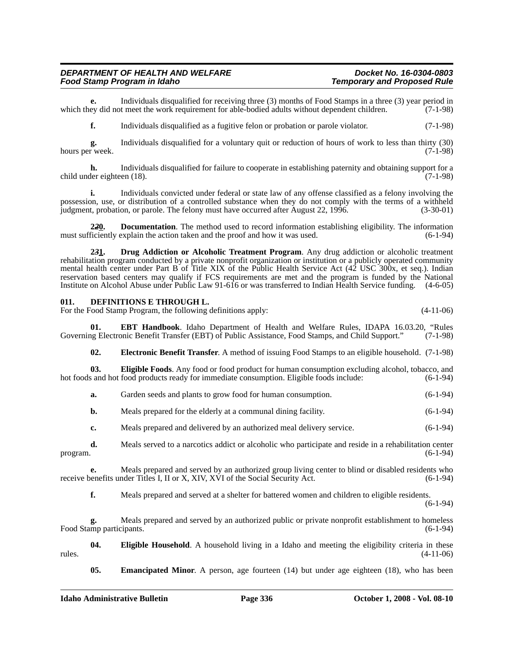### *DEPARTMENT OF HEALTH AND WELFARE Docket No. 16-0304-0803 Food Stamp Program in Idaho*

**e.** Individuals disqualified for receiving three (3) months of Food Stamps in a three (3) year period in ey did not meet the work requirement for able-bodied adults without dependent children. (7-1-98) which they did not meet the work requirement for able-bodied adults without dependent children.

**f.** Individuals disqualified as a fugitive felon or probation or parole violator. (7-1-98)

**g.** Individuals disqualified for a voluntary quit or reduction of hours of work to less than thirty (30) hours per week.

**h.** Individuals disqualified for failure to cooperate in establishing paternity and obtaining support for a child under eighteen (18). (7-1-98)

**i.** Individuals convicted under federal or state law of any offense classified as a felony involving the possession, use, or distribution of a controlled substance when they do not comply with the terms of a withheld judgment, probation, or parole. The felony must have occurred after August 22, 1996. (3-30-01)

**220. Documentation**. The method used to record information establishing eligibility. The information ficiently explain the action taken and the proof and how it was used.  $(6-1-94)$ must sufficiently explain the action taken and the proof and how it was used.

**2***3***1. Drug Addiction or Alcoholic Treatment Program**. Any drug addiction or alcoholic treatment rehabilitation program conducted by a private nonprofit organization or institution or a publicly operated community mental health center under Part B of Title XIX of the Public Health Service Act (42 USC 300x, et seq.). Indian reservation based centers may qualify if FCS requirements are met and the program is funded by the National Institute on Alcohol Abuse under Public Law 91-616 or was transferred to Indian Health Service funding. (4-6-05)

#### **011. DEFINITIONS E THROUGH L.**

For the Food Stamp Program, the following definitions apply: (4-11-06)

**01. EBT Handbook**. Idaho Department of Health and Welfare Rules, IDAPA 16.03.20, "Rules Governing Electronic Benefit Transfer (EBT) of Public Assistance, Food Stamps, and Child Support." (7-1-98)

**02. Electronic Benefit Transfer**. A method of issuing Food Stamps to an eligible household. (7-1-98)

**03. Eligible Foods**. Any food or food product for human consumption excluding alcohol, tobacco, and hot foods and hot food products ready for immediate consumption. Eligible foods include:  $(6-1-94)$ 

**a.** Garden seeds and plants to grow food for human consumption.  $(6-1-94)$ 

**b.** Meals prepared for the elderly at a communal dining facility.  $(6-1-94)$ 

**c.** Meals prepared and delivered by an authorized meal delivery service. (6-1-94)

**d.** Meals served to a narcotics addict or alcoholic who participate and reside in a rehabilitation center program.  $(6-1-94)$ 

**e.** Meals prepared and served by an authorized group living center to blind or disabled residents who senefits under Titles I, II or X, XIV, XVI of the Social Security Act. (6-1-94) receive benefits under Titles I, II or X, XIV, XVI of the Social Security Act.

**f.** Meals prepared and served at a shelter for battered women and children to eligible residents.

(6-1-94)

**g.** Meals prepared and served by an authorized public or private nonprofit establishment to homeless Food Stamp participants. (6-1-94)

**04.** Eligible Household. A household living in a Idaho and meeting the eligibility criteria in these (4-11-06)  $r = (4-11-06)$ 

**05.** Emancipated Minor. A person, age fourteen (14) but under age eighteen (18), who has been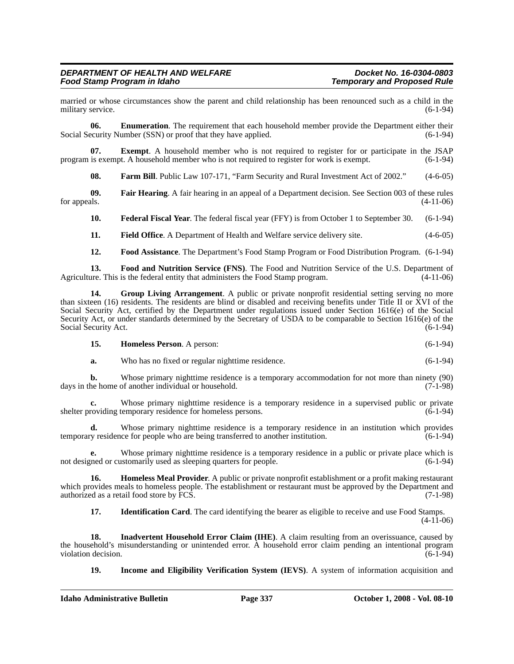married or whose circumstances show the parent and child relationship has been renounced such as a child in the military service. (6-1-94) military service.

**06. Enumeration**. The requirement that each household member provide the Department either their Social Security Number (SSN) or proof that they have applied. (6-1-94)

**07. Exempt**. A household member who is not required to register for or participate in the JSAP is exempt. A household member who is not required to register for work is exempt. (6-1-94) program is exempt. A household member who is not required to register for work is exempt.

**08. Farm Bill**. Public Law 107-171, "Farm Security and Rural Investment Act of 2002." (4-6-05)

**09.** Fair Hearing. A fair hearing in an appeal of a Department decision. See Section 003 of these rules for appeals. (4-11-06) for appeals.  $(4-11-06)$ 

**10. Federal Fiscal Year**. The federal fiscal year (FFY) is from October 1 to September 30. (6-1-94)

- **11.** Field Office. A Department of Health and Welfare service delivery site.  $(4-6-05)$
- **12. Food Assistance**. The Department's Food Stamp Program or Food Distribution Program. (6-1-94)

**13. Food and Nutrition Service (FNS)**. The Food and Nutrition Service of the U.S. Department of ure. This is the federal entity that administers the Food Stamp program. (4-11-06) Agriculture. This is the federal entity that administers the Food Stamp program.

**14. Group Living Arrangement**. A public or private nonprofit residential setting serving no more than sixteen (16) residents. The residents are blind or disabled and receiving benefits under Title II or XVI of the Social Security Act, certified by the Department under regulations issued under Section 1616(e) of the Social Security Act, or under standards determined by the Secretary of USDA to be comparable to Section 1616(e) of the Social Security Act. (6-1-94) Social Security Act.

| 15. | <b>Homeless Person.</b> A person: | $(6-1-94)$ |
|-----|-----------------------------------|------------|
|-----|-----------------------------------|------------|

**a.** Who has no fixed or regular nighttime residence. (6-1-94)

**b.** Whose primary nighttime residence is a temporary accommodation for not more than ninety (90) he home of another individual or household. (7-1-98) days in the home of another individual or household.

**c.** Whose primary nighttime residence is a temporary residence in a supervised public or private shelter providing temporary residence for homeless persons. (6-1-94)

**d.** Whose primary nighttime residence is a temporary residence in an institution which provides temporary residence for people who are being transferred to another institution. (6-1-94)

Whose primary nighttime residence is a temporary residence in a public or private place which is ustomarily used as sleeping quarters for people.  $(6-1-94)$ not designed or customarily used as sleeping quarters for people.

**16. Homeless Meal Provider**. A public or private nonprofit establishment or a profit making restaurant which provides meals to homeless people. The establishment or restaurant must be approved by the Department and authorized as a retail food store by FCS. (7-1-98)

**17. Identification Card**. The card identifying the bearer as eligible to receive and use Food Stamps. (4-11-06)

**18. Inadvertent Household Error Claim (IHE)**. A claim resulting from an overissuance, caused by the household's misunderstanding or unintended error. A household error claim pending an intentional program violation decision. (6-1-94) violation decision.

**19. Income and Eligibility Verification System (IEVS)**. A system of information acquisition and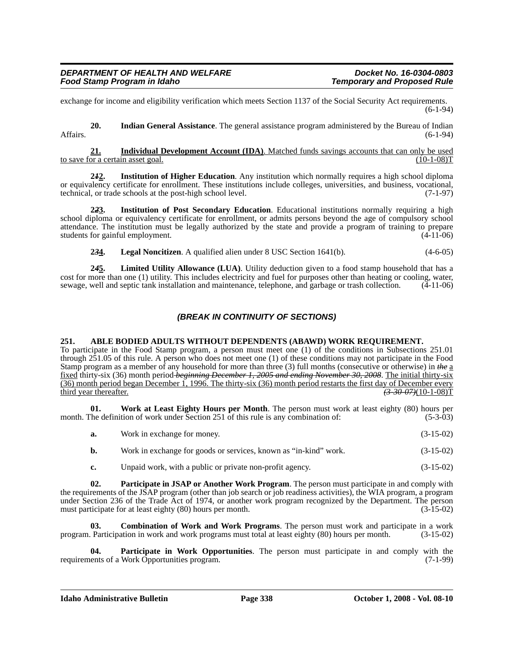exchange for income and eligibility verification which meets Section 1137 of the Social Security Act requirements. (6-1-94)

**20. Indian General Assistance**. The general assistance program administered by the Bureau of Indian Affairs. (6-1-94)

**21. Individual Development Account (IDA)**. Matched funds savings accounts that can only be used to save for a certain asset goal.

**2***1***2. Institution of Higher Education**. Any institution which normally requires a high school diploma or equivalency certificate for enrollment. These institutions include colleges, universities, and business, vocational, technical, or trade schools at the post-high school level. (7-1-97)

**2***2***3. Institution of Post Secondary Education**. Educational institutions normally requiring a high school diploma or equivalency certificate for enrollment, or admits persons beyond the age of compulsory school attendance. The institution must be legally authorized by the state and provide a program of training to prepare students for gainful employment.

**2***3***4. Legal Noncitizen**. A qualified alien under 8 USC Section 1641(b). (4-6-05)

**2***4***5. Limited Utility Allowance (LUA)**. Utility deduction given to a food stamp household that has a cost for more than one (1) utility. This includes electricity and fuel for purposes other than heating or cooling, water, sewage, well and septic tank installation and maintenance, telephone, and garbage or trash collection. (4-11-06)

## *(BREAK IN CONTINUITY OF SECTIONS)*

#### **251. ABLE BODIED ADULTS WITHOUT DEPENDENTS (ABAWD) WORK REQUIREMENT.**

To participate in the Food Stamp program, a person must meet one (1) of the conditions in Subsections 251.01 through 251.05 of this rule. A person who does not meet one (1) of these conditions may not participate in the Food Stamp program as a member of any household for more than three (3) full months (consecutive or otherwise) in *the* a fixed thirty-six (36) month period *beginning December 1, 2005 and ending November 30, 2008*. The initial thirty-six (36) month period began December 1, 1996. The thirty-six (36) month period restarts the first day of December every third year thereafter. *(3-30-07)*(10-1-08)T

**01. Work at Least Eighty Hours per Month**. The person must work at least eighty (80) hours per month. The definition of work under Section 251 of this rule is any combination of: (5-3-03)

| a. | Work in exchange for money. | $(3-15-02)$ |
|----|-----------------------------|-------------|
|----|-----------------------------|-------------|

**b.** Work in exchange for goods or services, known as "in-kind" work.  $(3-15-02)$ 

**c.** Unpaid work, with a public or private non-profit agency. (3-15-02)

**02. Participate in JSAP or Another Work Program**. The person must participate in and comply with the requirements of the JSAP program (other than job search or job readiness activities), the WIA program, a program under Section 236 of the Trade Act of 1974, or another work program recognized by the Department. The person must participate for at least eighty (80) hours per month. (3-15-02)

**03. Combination of Work and Work Programs**. The person must work and participate in a work Participation in work and work programs must total at least eighty (80) hours per month. (3-15-02) program. Participation in work and work programs must total at least eighty (80) hours per month.

**04. Participate in Work Opportunities**. The person must participate in and comply with the requirements of a Work Opportunities program. (7-1-99)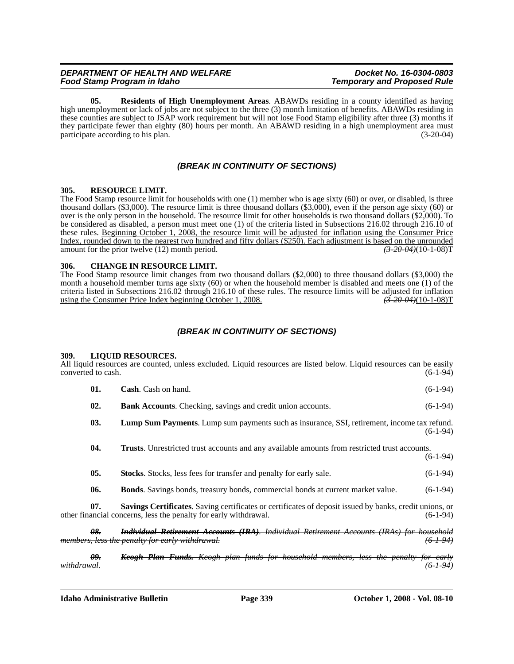## *Food Stamp Program in Idaho Temporary and Proposed Rule*

**05. Residents of High Unemployment Areas**. ABAWDs residing in a county identified as having high unemployment or lack of jobs are not subject to the three (3) month limitation of benefits. ABAWDs residing in these counties are subject to JSAP work requirement but will not lose Food Stamp eligibility after three (3) months if they participate fewer than eighty (80) hours per month. An ABAWD residing in a high unemployment area must participate according to his plan. (3-20-04)

## *(BREAK IN CONTINUITY OF SECTIONS)*

### **305. RESOURCE LIMIT.**

The Food Stamp resource limit for households with one (1) member who is age sixty (60) or over, or disabled, is three thousand dollars (\$3,000). The resource limit is three thousand dollars (\$3,000), even if the person age sixty (60) or over is the only person in the household. The resource limit for other households is two thousand dollars (\$2,000). To be considered as disabled, a person must meet one (1) of the criteria listed in Subsections 216.02 through 216.10 of these rules. Beginning October 1, 2008, the resource limit will be adjusted for inflation using the Consumer Price Index, rounded down to the nearest two hundred and fifty dollars (\$250). Each adjustment is based on the unrounded amount for the prior twelve (12) month period. *(3-20-04)*(10-1-08)T

### **306. CHANGE IN RESOURCE LIMIT.**

The Food Stamp resource limit changes from two thousand dollars (\$2,000) to three thousand dollars (\$3,000) the month a household member turns age sixty (60) or when the household member is disabled and meets one (1) of the criteria listed in Subsections 216.02 through 216.10 of these rules. The resource limits will be adjusted for inflation using the Consumer Price Index beginning October 1, 2008. using the Consumer Price Index beginning October 1, 2008.

## *(BREAK IN CONTINUITY OF SECTIONS)*

#### **309. LIQUID RESOURCES.**

All liquid resources are counted, unless excluded. Liquid resources are listed below. Liquid resources can be easily converted to cash. (6-1-94) converted to cash.

|     | <b>Cash.</b> Cash on hand.                                         | $(6-1-94)$ |
|-----|--------------------------------------------------------------------|------------|
| 02. | <b>Bank Accounts.</b> Checking, savings and credit union accounts. | $(6-1-94)$ |

**03. Lump Sum Payments**. Lump sum payments such as insurance, SSI, retirement, income tax refund.  $(6-1-94)$ 

**04. Trusts**. Unrestricted trust accounts and any available amounts from restricted trust accounts. (6-1-94)

- **05.** Stocks. Stocks, less fees for transfer and penalty for early sale.  $(6-1-94)$
- **06. Bonds**. Savings bonds, treasury bonds, commercial bonds at current market value. (6-1-94)

**07. Savings Certificates**. Saving certificates or certificates of deposit issued by banks, credit unions, or other financial concerns, less the penalty for early withdrawal. (6-1-94)

*08. Individual Retirement Accounts (IRA). Individual Retirement Accounts (IRAs) for household members, less the penalty for early withdrawal. (6-1-94)*

*09. Keogh Plan Funds. Keogh plan funds for household members, less the penalty for early withdrawal. (6-1-94)*

**Idaho Administrative Bulletin Page 339 October 1, 2008 - Vol. 08-10**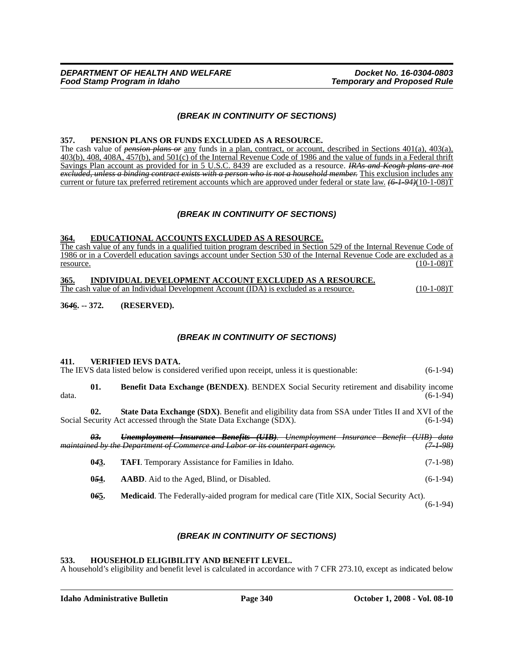## *(BREAK IN CONTINUITY OF SECTIONS)*

#### **357. PENSION PLANS OR FUNDS EXCLUDED AS A RESOURCE.**

The cash value of *pension plans or* any funds in a plan, contract, or account, described in Sections 401(a), 403(a), 403(b), 408, 408A, 457(b), and 501(c) of the Internal Revenue Code of 1986 and the value of funds in a Federal thrift Savings Plan account as provided for in 5 U.S.C. 8439 are excluded as a resource. *IRAs and Keogh plans are not excluded, unless a binding contract exists with a person who is not a household member.* This exclusion includes any current or future tax preferred retirement accounts which are approved under federal or state law. *(6-1-94)*(10-1-08)<sup>T</sup>

### *(BREAK IN CONTINUITY OF SECTIONS)*

#### **364. EDUCATIONAL ACCOUNTS EXCLUDED AS A RESOURCE.**

The cash value of any funds in a qualified tuition program described in Section 529 of the Internal Revenue Code of 1986 or in a Coverdell education savings account under Section 530 of the Internal Revenue Code are excluded as a  $r_{\text{resource}}$  (10-1-08)T

#### **365. INDIVIDUAL DEVELOPMENT ACCOUNT EXCLUDED AS A RESOURCE.**

The cash value of an Individual Development Account (IDA) is excluded as a resource. (10-1-08)T

**36***4***6. -- 372. (RESERVED).**

## *(BREAK IN CONTINUITY OF SECTIONS)*

#### **411. VERIFIED IEVS DATA.**

|       |                | The IEVS data listed below is considered verified upon receipt, unless it is questionable:                                                                                    | $(6-1-94)$      |
|-------|----------------|-------------------------------------------------------------------------------------------------------------------------------------------------------------------------------|-----------------|
| data. | 01.            | <b>Benefit Data Exchange (BENDEX).</b> BENDEX Social Security retirement and disability income                                                                                | $(6-1-94)$      |
|       | 02.            | <b>State Data Exchange (SDX).</b> Benefit and eligibility data from SSA under Titles II and XVI of the<br>Social Security Act accessed through the State Data Exchange (SDX). | $(6-1-94)$      |
|       | <del>03.</del> | Unemployment Insurance Benefits (UIB). Unemployment Insurance Benefit (UIB)<br>maintained by the Department of Commerce and Labor or its counterpart agency.                  | <del>data</del> |

**043. TAFI**. Temporary Assistance for Families in Idaho. (7-1-98) **054.** AABD. Aid to the Aged, Blind, or Disabled. (6-1-94)

**0***6***5. Medicaid**. The Federally-aided program for medical care (Title XIX, Social Security Act).

(6-1-94)

## *(BREAK IN CONTINUITY OF SECTIONS)*

#### **533. HOUSEHOLD ELIGIBILITY AND BENEFIT LEVEL.**

A household's eligibility and benefit level is calculated in accordance with 7 CFR 273.10, except as indicated below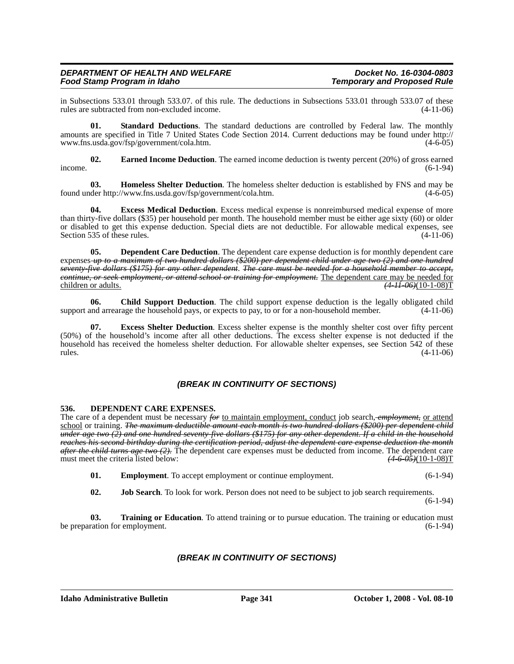in Subsections 533.01 through 533.07. of this rule. The deductions in Subsections 533.01 through 533.07 of these rules are subtracted from non-excluded income. (4-11-06) rules are subtracted from non-excluded income.

**01. Standard Deductions**[. The standard deductions are controlled by Federal law. The monthly](http://www.fns.usda.gov/fsp/government/cola.htm) amounts are specified in Title 7 United States Code Section 2014. Current deductions may be found under http:// [www.fns.usda.gov/fsp/government/cola.htm. \(4-6-05\)](http://www.fns.usda.gov/fsp/government/cola.htm)

**02. Earned Income Deduction**. The earned income deduction is twenty percent (20%) of gross earned  $i$  income.  $(6-1-94)$ 

**03. Homeless Shelter Deduction**[. The homeless shelter deduction is established by FNS and may be](http://www.fns.usda.gov/fsp/government/cola.htm) [found under http://www.fns.usda.gov/fsp/government/cola.htm. \(4-6-05\)](http://www.fns.usda.gov/fsp/government/cola.htm)

**04. Excess Medical Deduction**. Excess medical expense is nonreimbursed medical expense of more than thirty-five dollars (\$35) per household per month. The household member must be either age sixty (60) or older or disabled to get this expense deduction. Special diets are not deductible. For allowable medical expenses, see<br>Section 535 of these rules. (4-11-06) Section 535 of these rules.

**05. Dependent Care Deduction**. The dependent care expense deduction is for monthly dependent care expenses *up to a maximum of two hundred dollars (\$200) per dependent child under age two (2) and one hundred seventy-five dollars (\$175) for any other dependent*. *The care must be needed for a household member to accept, continue, or seek employment, or attend school or training for employment.* The dependent care may be needed for children or adults.<br>(4.11.06)(10-1-08)  $(4 - 11 - 06)(10 - 1 - 08)$ T

**06. Child Support Deduction**. The child support expense deduction is the legally obligated child support and arrearage the household pays, or expects to pay, to or for a non-household member. (4-11-06)

**Excess Shelter Deduction**. Excess shelter expense is the monthly shelter cost over fifty percent (50%) of the household's income after all other deductions. The excess shelter expense is not deducted if the household has received the homeless shelter deduction. For allowable shelter expenses, see Section 542 of these  $r = (4-11-06)$ 

## *(BREAK IN CONTINUITY OF SECTIONS)*

## **536. DEPENDENT CARE EXPENSES.**

The care of a dependent must be necessary *for* to maintain employment, conduct job search, *employment,* or attend school or training. *The maximum deductible amount each month is two hundred dollars (\$200) per dependent child under age two (2) and one hundred seventy-five dollars (\$175) for any other dependent. If a child in the household reaches his second birthday during the certification period, adjust the dependent care expense deduction the month after the child turns age two (2).* The dependent care expenses must be deducted from income. The dependent care must meet the criteria listed below: (4.6.05)(10-1-08) must meet the criteria listed below:

- **01. Employment**. To accept employment or continue employment. (6-1-94)
- **02. Job Search**. To look for work. Person does not need to be subject to job search requirements.

(6-1-94)

**03. Training or Education**. To attend training or to pursue education. The training or education must be preparation for employment. (6-1-94)

## *(BREAK IN CONTINUITY OF SECTIONS)*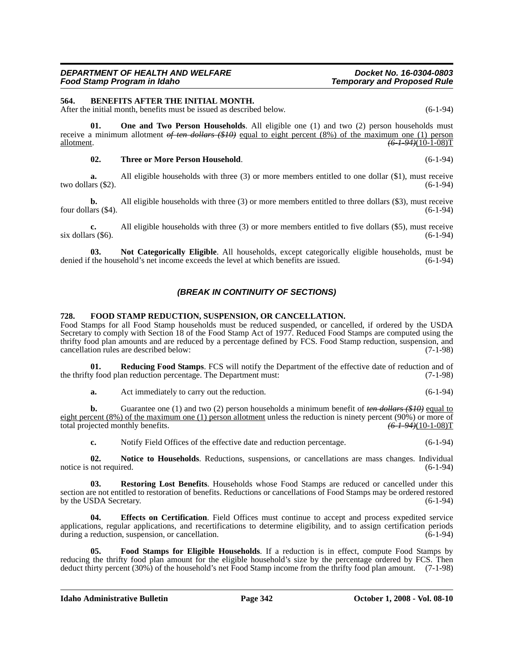#### **564. BENEFITS AFTER THE INITIAL MONTH.**

After the initial month, benefits must be issued as described below. (6-1-94)

**01. One and Two Person Households**. All eligible one (1) and two (2) person households must receive a minimum allotment *of ten dollars (\$10)* equal to eight percent (8%) of the maximum one (1) person allotment. *(6-1-94)*(10-1-08)T

#### **02. Three or More Person Household**. (6-1-94)

**a.** All eligible households with three (3) or more members entitled to one dollar (\$1), must receive two dollars  $(\$2)$ .  $(6-1-94)$ 

**b.** All eligible households with three (3) or more members entitled to three dollars (\$3), must receive four dollars  $(\$4)$ .  $(6-1-94)$ 

**c.** All eligible households with three (3) or more members entitled to five dollars (\$5), must receive (\$5). (6-1-94) six dollars  $(\$6)$ .

**03. Not Categorically Eligible**. All households, except categorically eligible households, must be denied if the household's net income exceeds the level at which benefits are issued. (6-1-94)

### *(BREAK IN CONTINUITY OF SECTIONS)*

#### **728. FOOD STAMP REDUCTION, SUSPENSION, OR CANCELLATION.**

Food Stamps for all Food Stamp households must be reduced suspended, or cancelled, if ordered by the USDA Secretary to comply with Section 18 of the Food Stamp Act of 1977. Reduced Food Stamps are computed using the thrifty food plan amounts and are reduced by a percentage defined by FCS. Food Stamp reduction, suspension, and cancellation rules are described below: (7-1-98) cancellation rules are described below:

**01. Reducing Food Stamps**. FCS will notify the Department of the effective date of reduction and of the thrifty food plan reduction percentage. The Department must: (7-1-98)

**a.** Act immediately to carry out the reduction. (6-1-94)

**b.** Guarantee one (1) and two (2) person households a minimum benefit of *ten dollars* (\$10) equal to eight percent (8%) of the maximum one (1) person allotment unless the reduction is ninety percent (90%) or more of total projected monthly benefits.  $\sqrt{(6-1-94)(10-1-08)T}$ total projected monthly benefits.

**c.** Notify Field Offices of the effective date and reduction percentage. (6-1-94)

**02. Notice to Households**. Reductions, suspensions, or cancellations are mass changes. Individual notice is not required. (6-1-94)

**03. Restoring Lost Benefits**. Households whose Food Stamps are reduced or cancelled under this section are not entitled to restoration of benefits. Reductions or cancellations of Food Stamps may be ordered restored<br>by the USDA Secretary. (6-1-94) by the USDA Secretary.

**04. Effects on Certification**. Field Offices must continue to accept and process expedited service applications, regular applications, and recertifications to determine eligibility, and to assign certification periods during a reduction, suspension, or cancellation. during a reduction, suspension, or cancellation.

**05. Food Stamps for Eligible Households**. If a reduction is in effect, compute Food Stamps by reducing the thrifty food plan amount for the eligible household's size by the percentage ordered by FCS. Then deduct thirty percent (30%) of the household's net Food Stamp income from the thrifty food plan amount. (7-1-98)